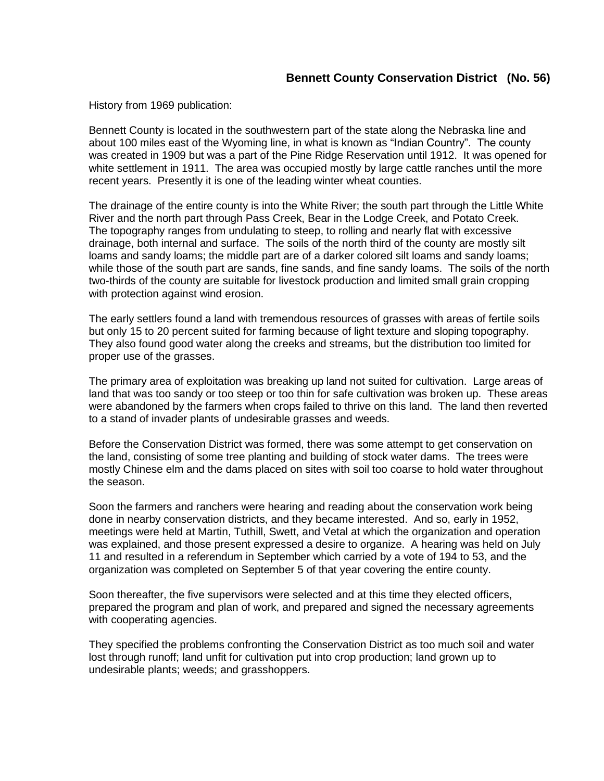History from 1969 publication:

Bennett County is located in the southwestern part of the state along the Nebraska line and about 100 miles east of the Wyoming line, in what is known as "Indian Country". The county was created in 1909 but was a part of the Pine Ridge Reservation until 1912. It was opened for white settlement in 1911. The area was occupied mostly by large cattle ranches until the more recent years. Presently it is one of the leading winter wheat counties.

The drainage of the entire county is into the White River; the south part through the Little White River and the north part through Pass Creek, Bear in the Lodge Creek, and Potato Creek. The topography ranges from undulating to steep, to rolling and nearly flat with excessive drainage, both internal and surface. The soils of the north third of the county are mostly silt loams and sandy loams; the middle part are of a darker colored silt loams and sandy loams; while those of the south part are sands, fine sands, and fine sandy loams. The soils of the north two-thirds of the county are suitable for livestock production and limited small grain cropping with protection against wind erosion.

The early settlers found a land with tremendous resources of grasses with areas of fertile soils but only 15 to 20 percent suited for farming because of light texture and sloping topography. They also found good water along the creeks and streams, but the distribution too limited for proper use of the grasses.

The primary area of exploitation was breaking up land not suited for cultivation. Large areas of land that was too sandy or too steep or too thin for safe cultivation was broken up. These areas were abandoned by the farmers when crops failed to thrive on this land. The land then reverted to a stand of invader plants of undesirable grasses and weeds.

Before the Conservation District was formed, there was some attempt to get conservation on the land, consisting of some tree planting and building of stock water dams. The trees were mostly Chinese elm and the dams placed on sites with soil too coarse to hold water throughout the season.

Soon the farmers and ranchers were hearing and reading about the conservation work being done in nearby conservation districts, and they became interested. And so, early in 1952, meetings were held at Martin, Tuthill, Swett, and Vetal at which the organization and operation was explained, and those present expressed a desire to organize. A hearing was held on July 11 and resulted in a referendum in September which carried by a vote of 194 to 53, and the organization was completed on September 5 of that year covering the entire county.

Soon thereafter, the five supervisors were selected and at this time they elected officers, prepared the program and plan of work, and prepared and signed the necessary agreements with cooperating agencies.

They specified the problems confronting the Conservation District as too much soil and water lost through runoff; land unfit for cultivation put into crop production; land grown up to undesirable plants; weeds; and grasshoppers.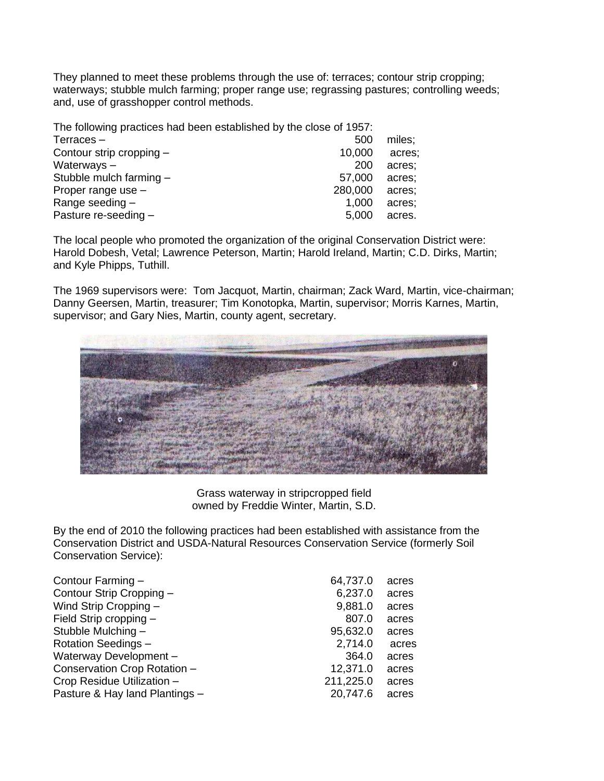They planned to meet these problems through the use of: terraces; contour strip cropping; waterways; stubble mulch farming; proper range use; regrassing pastures; controlling weeds; and, use of grasshopper control methods.

| The following practices had been established by the close of 1957: |         |        |
|--------------------------------------------------------------------|---------|--------|
| Terraces –                                                         | 500     | miles; |
| Contour strip cropping -                                           | 10,000  | acres: |
| Waterways-                                                         | 200     | acres; |
| Stubble mulch farming -                                            | 57,000  | acres; |
| Proper range use -                                                 | 280,000 | acres; |
| Range seeding -                                                    | 1,000   | acres; |
| Pasture re-seeding -                                               | 5,000   | acres. |

The local people who promoted the organization of the original Conservation District were: Harold Dobesh, Vetal; Lawrence Peterson, Martin; Harold Ireland, Martin; C.D. Dirks, Martin; and Kyle Phipps, Tuthill.

The 1969 supervisors were: Tom Jacquot, Martin, chairman; Zack Ward, Martin, vice-chairman; Danny Geersen, Martin, treasurer; Tim Konotopka, Martin, supervisor; Morris Karnes, Martin, supervisor; and Gary Nies, Martin, county agent, secretary.



Grass waterway in stripcropped field owned by Freddie Winter, Martin, S.D.

By the end of 2010 the following practices had been established with assistance from the Conservation District and USDA-Natural Resources Conservation Service (formerly Soil Conservation Service):

| Contour Farming -              | 64,737.0  | acres |
|--------------------------------|-----------|-------|
| Contour Strip Cropping -       | 6,237.0   | acres |
| Wind Strip Cropping -          | 9,881.0   | acres |
| Field Strip cropping -         | 807.0     | acres |
| Stubble Mulching -             | 95,632.0  | acres |
| <b>Rotation Seedings -</b>     | 2,714.0   | acres |
| Waterway Development -         | 364.0     | acres |
| Conservation Crop Rotation -   | 12,371.0  | acres |
| Crop Residue Utilization -     | 211,225.0 | acres |
| Pasture & Hay land Plantings - | 20,747.6  | acres |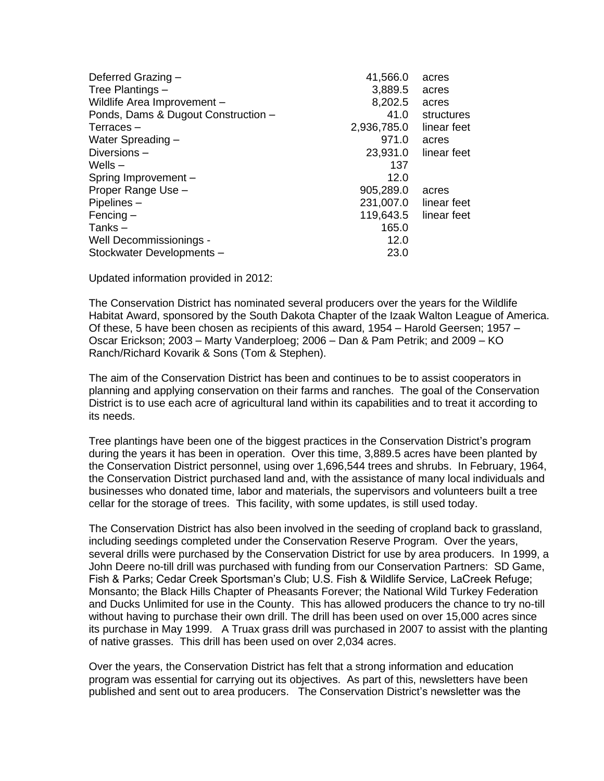| 41,566.0    | acres       |
|-------------|-------------|
| 3,889.5     | acres       |
| 8,202.5     | acres       |
| 41.0        | structures  |
| 2,936,785.0 | linear feet |
| 971.0       | acres       |
| 23,931.0    | linear feet |
| 137         |             |
| 12.0        |             |
| 905,289.0   | acres       |
|             | linear feet |
| 119,643.5   | linear feet |
| 165.0       |             |
| 12.0        |             |
| 23.0        |             |
|             | 231,007.0   |

Updated information provided in 2012:

The Conservation District has nominated several producers over the years for the Wildlife Habitat Award, sponsored by the South Dakota Chapter of the Izaak Walton League of America. Of these, 5 have been chosen as recipients of this award, 1954 – Harold Geersen; 1957 – Oscar Erickson; 2003 – Marty Vanderploeg; 2006 – Dan & Pam Petrik; and 2009 – KO Ranch/Richard Kovarik & Sons (Tom & Stephen).

The aim of the Conservation District has been and continues to be to assist cooperators in planning and applying conservation on their farms and ranches. The goal of the Conservation District is to use each acre of agricultural land within its capabilities and to treat it according to its needs.

Tree plantings have been one of the biggest practices in the Conservation District's program during the years it has been in operation. Over this time, 3,889.5 acres have been planted by the Conservation District personnel, using over 1,696,544 trees and shrubs. In February, 1964, the Conservation District purchased land and, with the assistance of many local individuals and businesses who donated time, labor and materials, the supervisors and volunteers built a tree cellar for the storage of trees. This facility, with some updates, is still used today.

The Conservation District has also been involved in the seeding of cropland back to grassland, including seedings completed under the Conservation Reserve Program. Over the years, several drills were purchased by the Conservation District for use by area producers. In 1999, a John Deere no-till drill was purchased with funding from our Conservation Partners: SD Game, Fish & Parks; Cedar Creek Sportsman's Club; U.S. Fish & Wildlife Service, LaCreek Refuge; Monsanto; the Black Hills Chapter of Pheasants Forever; the National Wild Turkey Federation and Ducks Unlimited for use in the County. This has allowed producers the chance to try no-till without having to purchase their own drill. The drill has been used on over 15,000 acres since its purchase in May 1999. A Truax grass drill was purchased in 2007 to assist with the planting of native grasses. This drill has been used on over 2,034 acres.

Over the years, the Conservation District has felt that a strong information and education program was essential for carrying out its objectives. As part of this, newsletters have been published and sent out to area producers. The Conservation District's newsletter was the